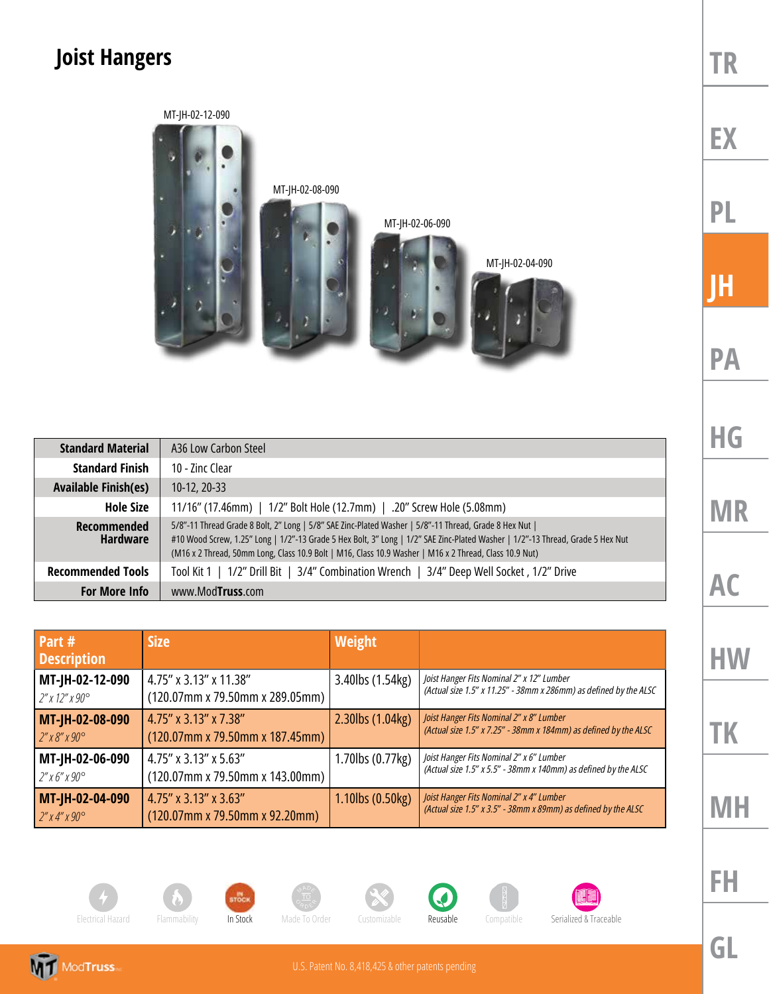## **Joist Hangers**



| <b>Standard Material</b>              | A36 Low Carbon Steel                                                                                                                                                                                                                                                                                                                               |  |
|---------------------------------------|----------------------------------------------------------------------------------------------------------------------------------------------------------------------------------------------------------------------------------------------------------------------------------------------------------------------------------------------------|--|
| <b>Standard Finish</b>                | 10 - Zinc Clear                                                                                                                                                                                                                                                                                                                                    |  |
| <b>Available Finish(es)</b>           | $10-12, 20-33$                                                                                                                                                                                                                                                                                                                                     |  |
| <b>Hole Size</b>                      | 11/16" (17.46mm)   1/2" Bolt Hole (12.7mm)   .20" Screw Hole (5.08mm)                                                                                                                                                                                                                                                                              |  |
| <b>Recommended</b><br><b>Hardware</b> | 5/8"-11 Thread Grade 8 Bolt, 2" Long   5/8" SAE Zinc-Plated Washer   5/8"-11 Thread, Grade 8 Hex Nut  <br>#10 Wood Screw, 1.25" Long   1/2"-13 Grade 5 Hex Bolt, 3" Long   1/2" SAE Zinc-Plated Washer   1/2"-13 Thread, Grade 5 Hex Nut<br>(M16 x 2 Thread, 50mm Long, Class 10.9 Bolt   M16, Class 10.9 Washer   M16 x 2 Thread, Class 10.9 Nut) |  |
| <b>Recommended Tools</b>              | Tool Kit 1   1/2" Drill Bit   3/4" Combination Wrench   3/4" Deep Well Socket, 1/2" Drive                                                                                                                                                                                                                                                          |  |
| <b>For More Info</b>                  | www.ModTruss.com                                                                                                                                                                                                                                                                                                                                   |  |

| Part #<br><b>Description</b> | <b>Size</b>                        | <b>Weight</b>    |                                                                   |
|------------------------------|------------------------------------|------------------|-------------------------------------------------------------------|
| MT-JH-02-12-090              | 4.75" x 3.13" x 11.38"             | 3.40lbs (1.54kg) | Joist Hanger Fits Nominal 2" x 12" Lumber                         |
| $2''$ x 12" x 90 $^{\circ}$  | $(120.07$ mm x 79.50mm x 289.05mm) |                  | (Actual size 1.5" x 11.25" - 38mm x 286mm) as defined by the ALSC |
| MT-JH-02-08-090              | 4.75" x 3.13" x 7.38"              | 2.30lbs (1.04kg) | Joist Hanger Fits Nominal 2" x 8" Lumber                          |
| $2''$ x 8" x 90 $^{\circ}$   | $(120.07$ mm x 79.50mm x 187.45mm) |                  | (Actual size 1.5" x 7.25" - 38mm x 184mm) as defined by the ALSC  |
| MT-JH-02-06-090              | 4.75" x 3.13" x 5.63"              | 1.70lbs (0.77kg) | Joist Hanger Fits Nominal 2" x 6" Lumber                          |
| $2''$ x 6" x 90°             | $(120.07$ mm x 79.50mm x 143.00mm) |                  | (Actual size 1.5" x 5.5" - 38mm x 140mm) as defined by the ALSC   |
| MT-JH-02-04-090              | $4.75''$ x 3.13" x 3.63"           | 1.10lbs (0.50kg) | Joist Hanger Fits Nominal 2" x 4" Lumber                          |
| $2''$ x 4" x 90 $^{\circ}$   | $(120.07$ mm x 79.50mm x 92.20mm)  |                  | (Actual size 1.5" x 3.5" - 38mm x 89mm) as defined by the ALSC    |

**AC HW**

**TR**

**EX**

**PL**

**JH**

**PA**

**HG**

**MR**

**MH**

**TK**

**FH**



















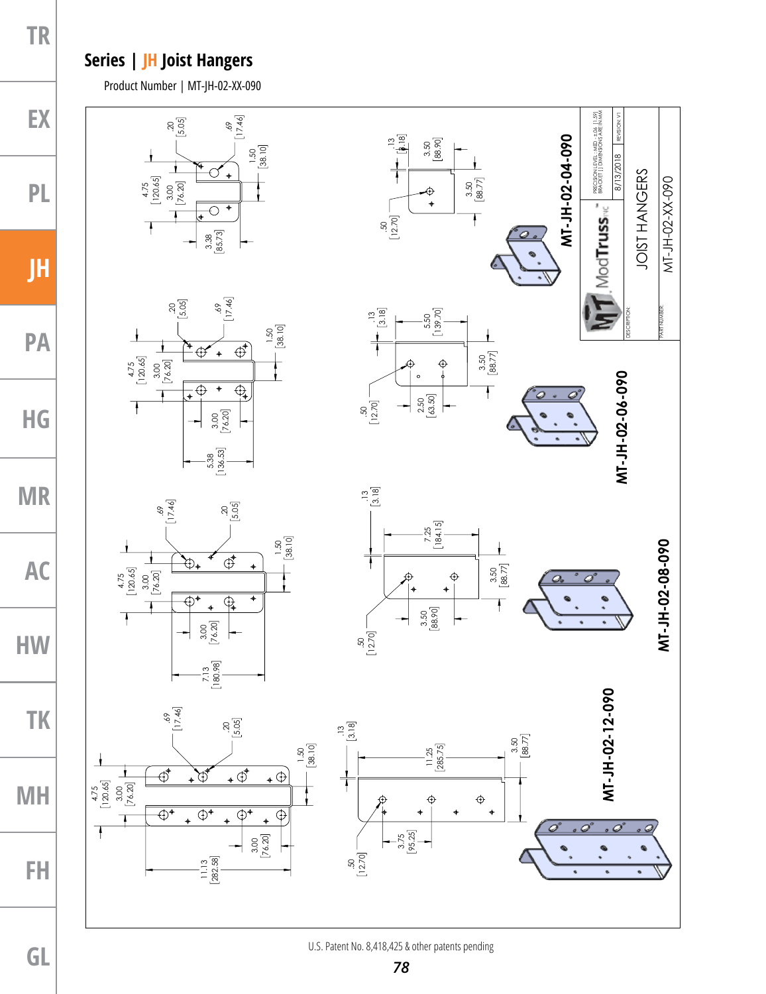## **Series | JH Joist Hangers**

**TR**

**EX**

**PL**

**JH**

**PA**

**HG**

**MR**

**AC**

**HW**

**TK**

**MH**

Product Number | MT-JH-02-XX-090



**FH**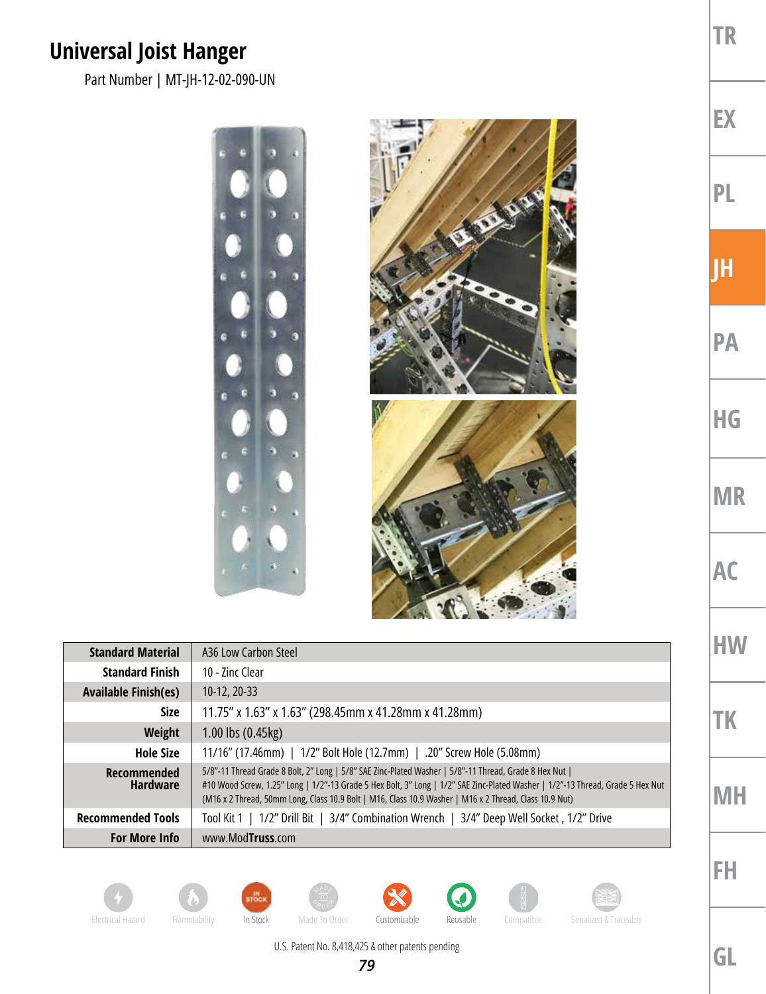## **Universal Joist Hanger**

Part Number | MT-JH-12-02-090-UN



| <b>Standard Material</b>              | A36 Low Carbon Steel                                                                                                                                                                                                                                                                                                                               |  |
|---------------------------------------|----------------------------------------------------------------------------------------------------------------------------------------------------------------------------------------------------------------------------------------------------------------------------------------------------------------------------------------------------|--|
| <b>Standard Finish</b>                | 10 - 7inc Clear                                                                                                                                                                                                                                                                                                                                    |  |
| <b>Available Finish(es)</b>           | $10-12, 20-33$                                                                                                                                                                                                                                                                                                                                     |  |
| <b>Size</b>                           | 11.75" x 1.63" x 1.63" (298.45mm x 41.28mm x 41.28mm)                                                                                                                                                                                                                                                                                              |  |
| Weight                                | 1.00 lbs (0.45kg)                                                                                                                                                                                                                                                                                                                                  |  |
| <b>Hole Size</b>                      | 11/16" (17.46mm)   1/2" Bolt Hole (12.7mm)   .20" Screw Hole (5.08mm)                                                                                                                                                                                                                                                                              |  |
| <b>Recommended</b><br><b>Hardware</b> | 5/8"-11 Thread Grade 8 Bolt, 2" Long   5/8" SAE Zinc-Plated Washer   5/8"-11 Thread, Grade 8 Hex Nut  <br>#10 Wood Screw, 1.25" Long   1/2"-13 Grade 5 Hex Bolt, 3" Long   1/2" SAE Zinc-Plated Washer   1/2"-13 Thread, Grade 5 Hex Nut<br>(M16 x 2 Thread, 50mm Long, Class 10.9 Bolt   M16, Class 10.9 Washer   M16 x 2 Thread, Class 10.9 Nut) |  |
| <b>Recommended Tools</b>              | Tool Kit 1   1/2" Drill Bit   3/4" Combination Wrench   3/4" Deep Well Socket, 1/2" Drive                                                                                                                                                                                                                                                          |  |
| <b>For More Info</b>                  | www.ModTruss.com                                                                                                                                                                                                                                                                                                                                   |  |













Electrical Hazard Flammability In Stock Made To Order Customizable Reusable Compatible Serialized & Traceable

U.S. Patent No. 8,418,425 & other patents pending *79*

**PL JH PA HG MR AC HW**

**TR**

**EX**

**TK**

**MH**

**FH**

**GL**